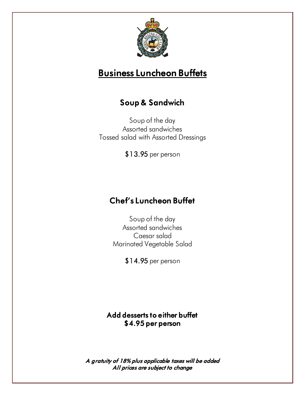

# Business Luncheon Buffets

## Soup & Sandwich

Soup of the day Assorted sandwiches Tossed salad with Assorted Dressings

\$13.95 per person

## Chef's Luncheon Buffet

Soup of the day Assorted sandwiches Caesar salad Marinated Vegetable Salad

\$14.95 per person

#### Add desserts to either buffet \$4.95 per person

A gratuity of 18% plus applicable taxes will be added All prices are subject to change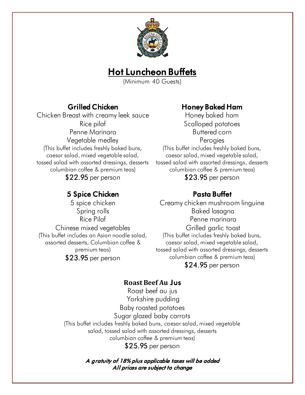

## **Hot Luncheon Buffets**

(Minimum 40 Guests)

### Grilled Chicken

Chicken Breast with creamy leek sauce Rice pilaf Penne Marinara Vegetable medley (This buffet includes freshly baked buns, caesar salad, mixed vegetable salad, tossed salad with assorted dressings, desserts columbian coffee & premium teas) \$22.95 per person

## 5 Spice Chicken

5 spice chicken Spring rolls Rice Pilaf Chinese mixed vegetables (This buffet includes an Asian noodle salad, assorted desserts, Columbian coffee & premium teas) \$23.95 per person

### Honey Baked Ham

Honey baked ham Scalloped potatoes Buttered corn Perogies (This buffet includes freshly baked buns, caesar salad, mixed vegetable salad, tossed salad with assorted dressings, desserts columbian coffee & premium teas) \$23.95 per person

## Pasta Buffet

Creamy chicken mushroom linguine Baked lasagna Penne marinara Grilled garlic toast (This buffet includes freshly baked buns, caesar salad, mixed vegetable salad, tossed salad with assorted dressings, desserts columbian coffee & premium teas) \$24.95 per person

### **Roast Beef Au** Jus

Roast beef au jus Yorkshire pudding Baby roasted potatoes Sugar glazed baby carrots (This buffet includes freshly baked buns, caesar salad, mixed vegetable salad, tossed salad with assorted dressings, desserts columbian coffee & premium teas) \$25.95 per person

> A gratuity of 18% plus applicable taxes will be added All prices are subject to change